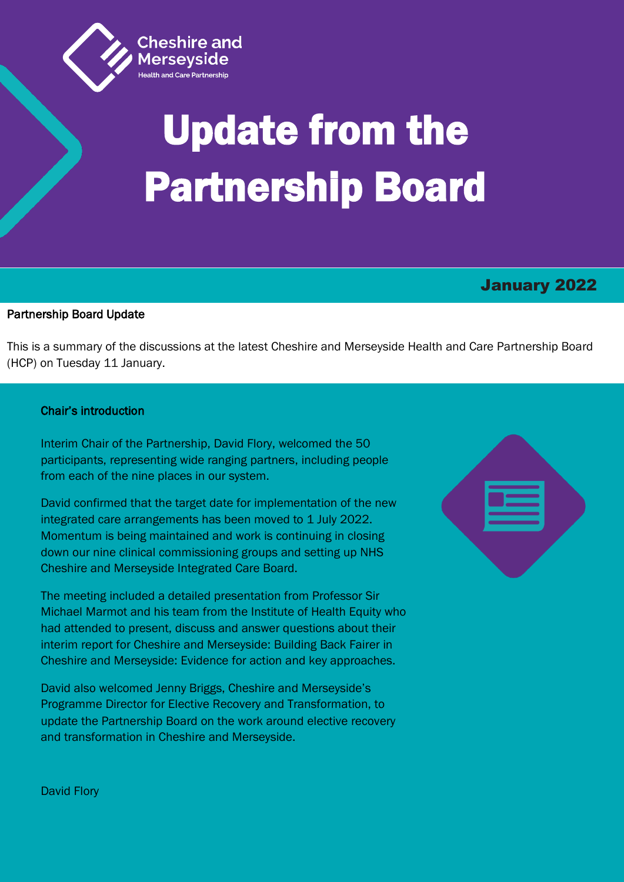

# Update from the Partnership Board

# January 2022

### Partnership Board Update

í

This is a summary of the discussions at the latest Cheshire and Merseyside Health and Care Partnership Board (HCP) on Tuesday 11 January.

## Chair's introduction

Interim Chair of the Partnership, David Flory, welcomed the 50 participants, representing wide ranging partners, including people from each of the nine places in our system.

David confirmed that the target date for implementation of the new integrated care arrangements has been moved to 1 July 2022. Momentum is being maintained and work is continuing in closing down our nine clinical commissioning groups and setting up NHS Cheshire and Merseyside Integrated Care Board.

The meeting included a detailed presentation from Professor Sir Michael Marmot and his team from the Institute of Health Equity who had attended to present, discuss and answer questions about their interim report for Cheshire and Merseyside: Building Back Fairer in Cheshire and Merseyside: Evidence for action and key approaches.

David also welcomed Jenny Briggs, Cheshire and Merseyside's Programme Director for Elective Recovery and Transformation, to update the Partnership Board on the work around elective recovery and transformation in Cheshire and Merseyside.



David Flory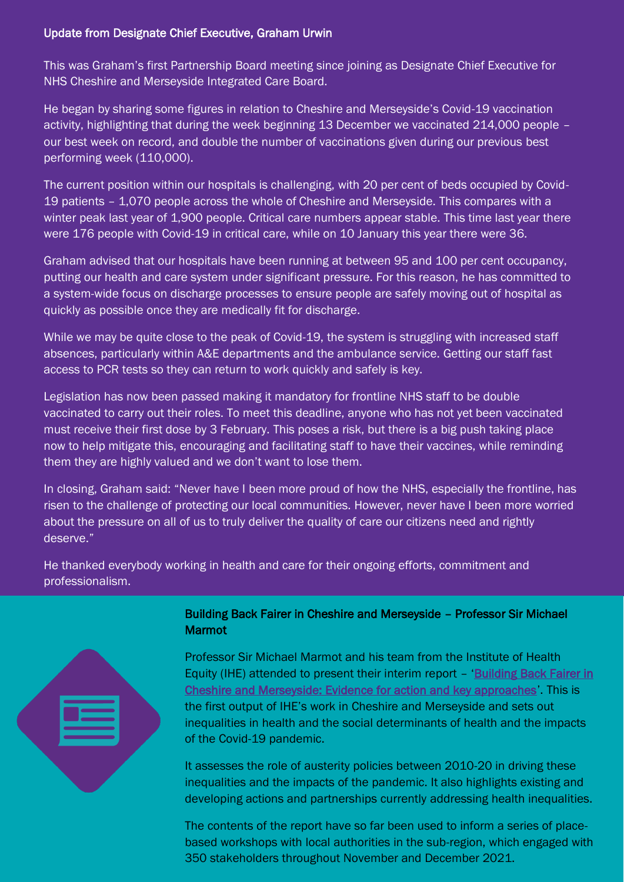# Update from Designate Chief Executive, Graham Urwin

This was Graham's first Partnership Board meeting since joining as Designate Chief Executive for NHS Cheshire and Merseyside Integrated Care Board.

He began by sharing some figures in relation to Cheshire and Merseyside's Covid-19 vaccination activity, highlighting that during the week beginning 13 December we vaccinated 214,000 people – our best week on record, and double the number of vaccinations given during our previous best performing week (110,000).

The current position within our hospitals is challenging, with 20 per cent of beds occupied by Covid-19 patients – 1,070 people across the whole of Cheshire and Merseyside. This compares with a winter peak last year of 1,900 people. Critical care numbers appear stable. This time last year there were 176 people with Covid-19 in critical care, while on 10 January this year there were 36.

Graham advised that our hospitals have been running at between 95 and 100 per cent occupancy, putting our health and care system under significant pressure. For this reason, he has committed to a system-wide focus on discharge processes to ensure people are safely moving out of hospital as quickly as possible once they are medically fit for discharge.

While we may be quite close to the peak of Covid-19, the system is struggling with increased staff absences, particularly within A&E departments and the ambulance service. Getting our staff fast access to PCR tests so they can return to work quickly and safely is key.

Legislation has now been passed making it mandatory for frontline NHS staff to be double vaccinated to carry out their roles. To meet this deadline, anyone who has not yet been vaccinated must receive their first dose by 3 February. This poses a risk, but there is a big push taking place now to help mitigate this, encouraging and facilitating staff to have their vaccines, while reminding them they are highly valued and we don't want to lose them.

In closing, Graham said: "Never have I been more proud of how the NHS, especially the frontline, has risen to the challenge of protecting our local communities. However, never have I been more worried about the pressure on all of us to truly deliver the quality of care our citizens need and rightly deserve."

He thanked everybody working in health and care for their ongoing efforts, commitment and professionalism.



# Building Back Fairer in Cheshire and Merseyside – Professor Sir Michael Marmot

Professor Sir Michael Marmot and his team from the Institute of Health Equity (IHE) attended to present their interim report – '[Building Back Fairer in](https://www.cheshireandmerseysidepartnership.co.uk/wp-content/uploads/2021/12/Interim-report-Final-November.pdf)  [Cheshire and Merseyside: Evidence for action and key approaches](https://www.cheshireandmerseysidepartnership.co.uk/wp-content/uploads/2021/12/Interim-report-Final-November.pdf)'. This is the first output of IHE's work in Cheshire and Merseyside and sets out inequalities in health and the social determinants of health and the impacts of the Covid-19 pandemic.

It assesses the role of austerity policies between 2010-20 in driving these inequalities and the impacts of the pandemic. It also highlights existing and developing actions and partnerships currently addressing health inequalities.

The contents of the report have so far been used to inform a series of placebased workshops with local authorities in the sub-region, which engaged with 350 stakeholders throughout November and December 2021.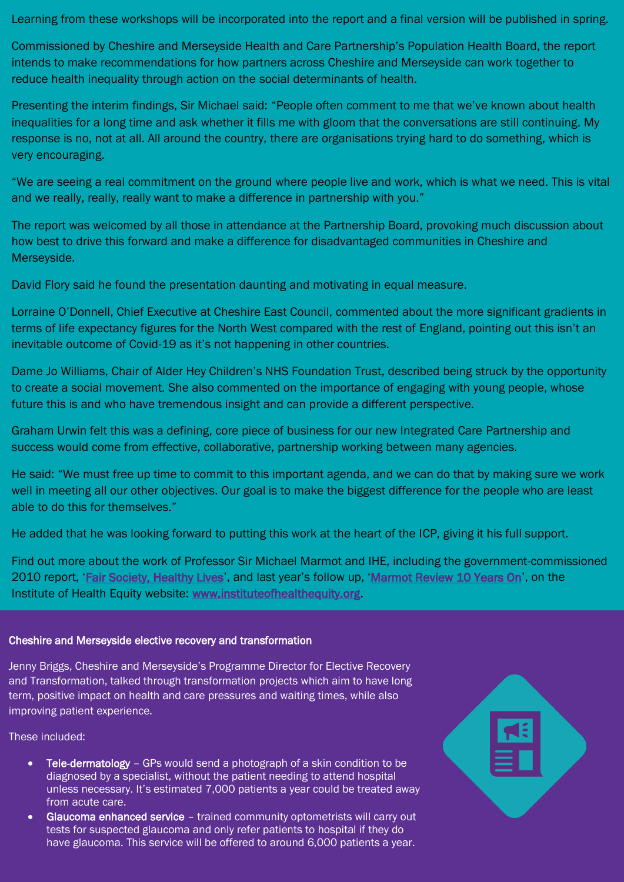Learning from these workshops will be incorporated into the report and a final version will be published in spring.

Commissioned by Cheshire and Merseyside Health and Care Partnership's Population Health Board, the report intends to make recommendations for how partners across Cheshire and Merseyside can work together to reduce health inequality through action on the social determinants of health.

Presenting the interim findings, Sir Michael said: "People often comment to me that we've known about health inequalities for a long time and ask whether it fills me with gloom that the conversations are still continuing. My response is no, not at all. All around the country, there are organisations trying hard to do something, which is very encouraging.

"We are seeing a real commitment on the ground where people live and work, which is what we need. This is vital and we really, really, really want to make a difference in partnership with you."

The report was welcomed by all those in attendance at the Partnership Board, provoking much discussion about how best to drive this forward and make a difference for disadvantaged communities in Cheshire and Merseyside.

David Flory said he found the presentation daunting and motivating in equal measure.

Lorraine O'Donnell, Chief Executive at Cheshire East Council, commented about the more significant gradients in terms of life expectancy figures for the North West compared with the rest of England, pointing out this isn't an inevitable outcome of Covid-19 as it's not happening in other countries.

Dame Jo Williams, Chair of Alder Hey Children's NHS Foundation Trust, described being struck by the opportunity to create a social movement. She also commented on the importance of engaging with young people, whose future this is and who have tremendous insight and can provide a different perspective.

Graham Urwin felt this was a defining, core piece of business for our new Integrated Care Partnership and success would come from effective, collaborative, partnership working between many agencies.

He said: "We must free up time to commit to this important agenda, and we can do that by making sure we work well in meeting all our other objectives. Our goal is to make the biggest difference for the people who are least able to do this for themselves."

He added that he was looking forward to putting this work at the heart of the ICP, giving it his full support.

Find out more about the work of Professor Sir Michael Marmot and IHE, including the government-commissioned 2010 report, '[Fair Society, Healthy Lives](https://www.instituteofhealthequity.org/resources-reports/fair-society-healthy-lives-the-marmot-review)', and last year's follow up, '[Marmot Review 10 Years On](https://www.instituteofhealthequity.org/resources-reports/marmot-review-10-years-on)', on the Institute of Health Equity website: [www.instituteofhealthequity.org.](file:///C:/Users/prycej/Desktop/www.instituteofhealthequity.org)

### Cheshire and Merseyside elective recovery and transformation

Jenny Briggs, Cheshire and Merseyside's Programme Director for Elective Recovery and Transformation, talked through transformation projects which aim to have long term, positive impact on health and care pressures and waiting times, while also improving patient experience.

These included:

- Tele-dermatology GPs would send a photograph of a skin condition to be diagnosed by a specialist, without the patient needing to attend hospital unless necessary. It's estimated 7,000 patients a year could be treated away from acute care.
- Glaucoma enhanced service trained community optometrists will carry out tests for suspected glaucoma and only refer patients to hospital if they do have glaucoma. This service will be offered to around 6,000 patients a year.